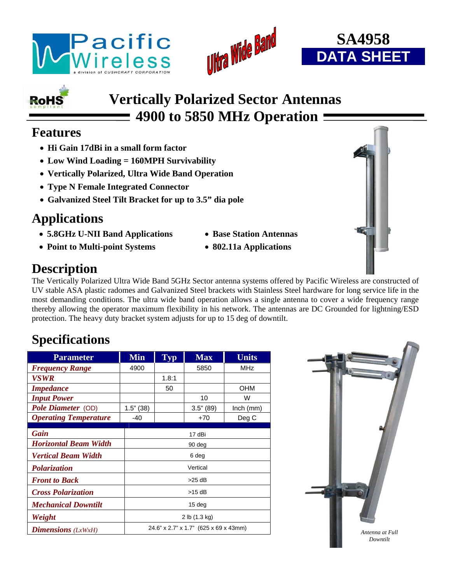





# **RoHS**

# **Vertically Polarized Sector Antennas 4900 to 5850 MHz Operation**

#### **Features**

- **Hi Gain 17dBi in a small form factor**
- **Low Wind Loading = 160MPH Survivability**
- **Vertically Polarized, Ultra Wide Band Operation**
- **Type N Female Integrated Connector**
- **Galvanized Steel Tilt Bracket for up to 3.5" dia pole**

# **Applications**

- **5.8GHz U-NII Band Applications Base Station Antennas**
- **Point to Multi-point Systems 802.11a Applications**
- 
- 

## **Description**

The Vertically Polarized Ultra Wide Band 5GHz Sector antenna systems offered by Pacific Wireless are constructed of UV stable ASA plastic radomes and Galvanized Steel brackets with Stainless Steel hardware for long service life in the most demanding conditions. The ultra wide band operation allows a single antenna to cover a wide frequency range thereby allowing the operator maximum flexibility in his network. The antennas are DC Grounded for lightning/ESD protection. The heavy duty bracket system adjusts for up to 15 deg of downtilt.

## **Specifications**

| <b>Parameter</b>             | <b>Min</b>   | <b>Typ</b>                            | <b>Max</b>   | <b>Units</b> |  |  |
|------------------------------|--------------|---------------------------------------|--------------|--------------|--|--|
| <b>Frequency Range</b>       | 4900         |                                       | 5850         | <b>MHz</b>   |  |  |
| <b>VSWR</b>                  |              | 1.8:1                                 |              |              |  |  |
| <b>Impedance</b>             |              | 50                                    |              | OHM          |  |  |
| <b>Input Power</b>           |              |                                       | 10           | W            |  |  |
| Pole Diameter (OD)           | $1.5$ " (38) |                                       | $3.5$ " (89) | $lnch$ (mm)  |  |  |
| <b>Operating Temperature</b> | $-40$        |                                       | $+70$        | Deg C        |  |  |
|                              |              |                                       |              |              |  |  |
| Gain                         |              | 17 dBi                                |              |              |  |  |
| <b>Horizontal Beam Width</b> |              | 90 deg                                |              |              |  |  |
| Vertical Beam Width          |              | 6 deg                                 |              |              |  |  |
| Polarization                 |              | Vertical                              |              |              |  |  |
| <b>Front to Back</b>         |              | $>25$ dB                              |              |              |  |  |
| <b>Cross Polarization</b>    |              | $>15$ dB                              |              |              |  |  |
| <b>Mechanical Downtilt</b>   |              | 15 <sub>deg</sub>                     |              |              |  |  |
| Weight                       |              | 2 lb (1.3 kg)                         |              |              |  |  |
| <b>Dimensions</b> $(LxWxH)$  |              | 24.6" x 2.7" x 1.7" (625 x 69 x 43mm) |              |              |  |  |